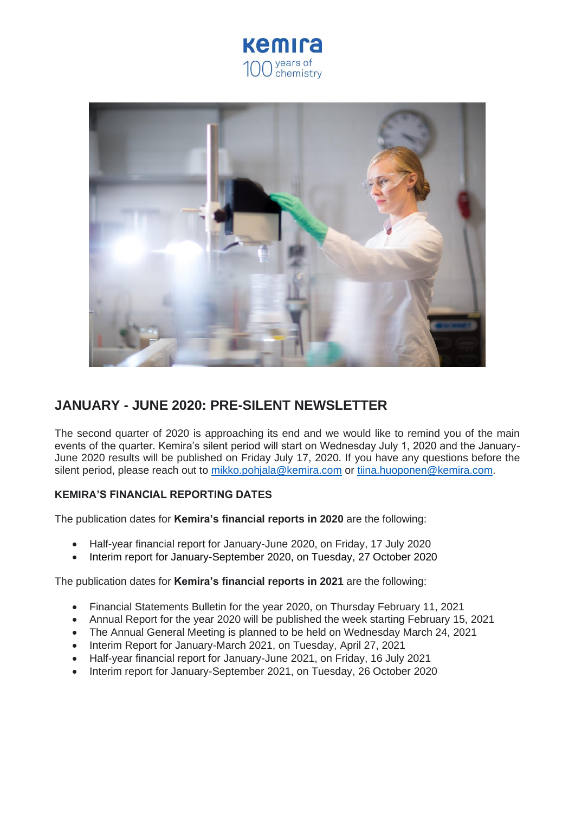



# **JANUARY - JUNE 2020: PRE-SILENT NEWSLETTER**

The second quarter of 2020 is approaching its end and we would like to remind you of the main events of the quarter. Kemira's silent period will start on Wednesday July 1, 2020 and the January-June 2020 results will be published on Friday July 17, 2020. If you have any questions before the silent period, please reach out to [mikko.pohjala@kemira.com](mailto:mikko.pohjala@kemira.com) or [tiina.huoponen@kemira.com.](mailto:tiina.huoponen@kemira.com)

# **KEMIRA'S FINANCIAL REPORTING DATES**

The publication dates for **Kemira's financial reports in 2020** are the following:

- Half-year financial report for January-June 2020, on Friday, 17 July 2020
- Interim report for January-September 2020, on Tuesday, 27 October 2020

The publication dates for **Kemira's financial reports in 2021** are the following:

- Financial Statements Bulletin for the year 2020, on Thursday February 11, 2021
- Annual Report for the year 2020 will be published the week starting February 15, 2021
- The Annual General Meeting is planned to be held on Wednesday March 24, 2021
- Interim Report for January-March 2021, on Tuesday, April 27, 2021
- Half-year financial report for January-June 2021, on Friday, 16 July 2021
- Interim report for January-September 2021, on Tuesday, 26 October 2020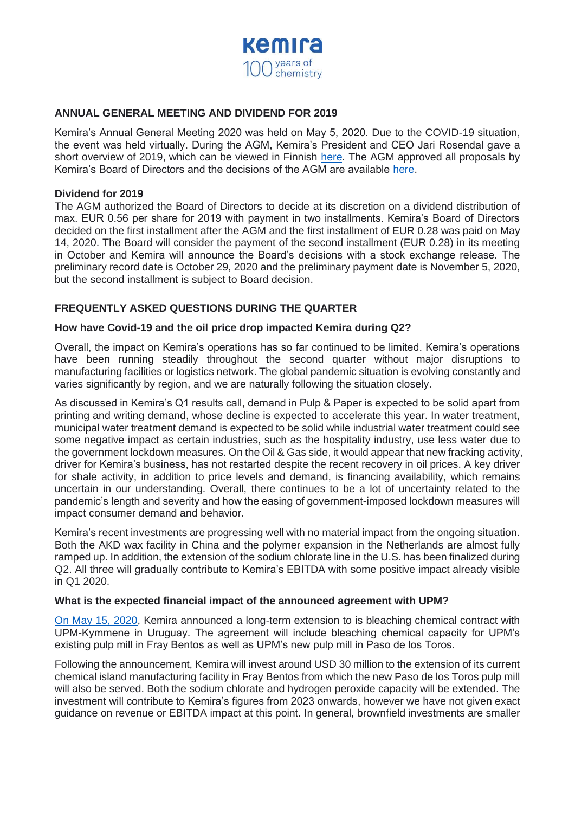

# **ANNUAL GENERAL MEETING AND DIVIDEND FOR 2019**

Kemira's Annual General Meeting 2020 was held on May 5, 2020. Due to the COVID-19 situation, the event was held virtually. During the AGM, Kemira's President and CEO Jari Rosendal gave a short overview of 2019, which can be viewed in Finnish [here.](https://kemira.videosync.fi/2020-agm-tj) The AGM approved all proposals by Kemira's Board of Directors and the decisions of the AGM are available [here.](https://www.kemira.com/company/media/newsroom/releases/kemira-oyj-decisions-of-the-annual-general-meeting-2020/)

## **Dividend for 2019**

The AGM authorized the Board of Directors to decide at its discretion on a dividend distribution of max. EUR 0.56 per share for 2019 with payment in two installments. Kemira's Board of Directors decided on the first installment after the AGM and the first installment of EUR 0.28 was paid on May 14, 2020. The Board will consider the payment of the second installment (EUR 0.28) in its meeting in October and Kemira will announce the Board's decisions with a stock exchange release. The preliminary record date is October 29, 2020 and the preliminary payment date is November 5, 2020, but the second installment is subject to Board decision.

# **FREQUENTLY ASKED QUESTIONS DURING THE QUARTER**

## **How have Covid-19 and the oil price drop impacted Kemira during Q2?**

Overall, the impact on Kemira's operations has so far continued to be limited. Kemira's operations have been running steadily throughout the second quarter without major disruptions to manufacturing facilities or logistics network. The global pandemic situation is evolving constantly and varies significantly by region, and we are naturally following the situation closely.

As discussed in Kemira's Q1 results call, demand in Pulp & Paper is expected to be solid apart from printing and writing demand, whose decline is expected to accelerate this year. In water treatment, municipal water treatment demand is expected to be solid while industrial water treatment could see some negative impact as certain industries, such as the hospitality industry, use less water due to the government lockdown measures. On the Oil & Gas side, it would appear that new fracking activity, driver for Kemira's business, has not restarted despite the recent recovery in oil prices. A key driver for shale activity, in addition to price levels and demand, is financing availability, which remains uncertain in our understanding. Overall, there continues to be a lot of uncertainty related to the pandemic's length and severity and how the easing of government-imposed lockdown measures will impact consumer demand and behavior.

Kemira's recent investments are progressing well with no material impact from the ongoing situation. Both the AKD wax facility in China and the polymer expansion in the Netherlands are almost fully ramped up. In addition, the extension of the sodium chlorate line in the U.S. has been finalized during Q2. All three will gradually contribute to Kemira's EBITDA with some positive impact already visible in Q1 2020.

#### **What is the expected financial impact of the announced agreement with UPM?**

[On May 15, 2020,](https://www.kemira.com/company/media/newsroom/releases/kemira-announces-a-long-term-extension-of-its-bleaching-chemicals-supply-contract-with-upm-kymmene-corporation-in-uruguay/) Kemira announced a long-term extension to is bleaching chemical contract with UPM-Kymmene in Uruguay. The agreement will include bleaching chemical capacity for UPM's existing pulp mill in Fray Bentos as well as UPM's new pulp mill in Paso de los Toros.

Following the announcement, Kemira will invest around USD 30 million to the extension of its current chemical island manufacturing facility in Fray Bentos from which the new Paso de los Toros pulp mill will also be served. Both the sodium chlorate and hydrogen peroxide capacity will be extended. The investment will contribute to Kemira's figures from 2023 onwards, however we have not given exact guidance on revenue or EBITDA impact at this point. In general, brownfield investments are smaller